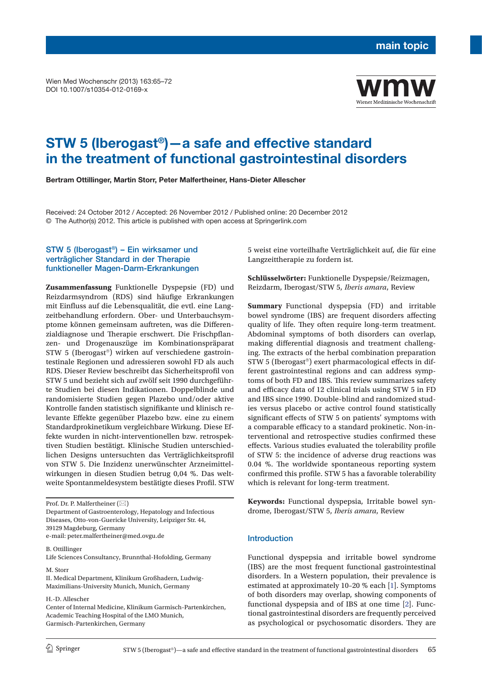Wien Med Wochenschr (2013) 163:65–72 DOI 10.1007/s10354-012-0169-x



# **STW 5 (Iberogast®)—a safe and effective standard in the treatment of functional gastrointestinal disorders**

**Bertram Ottillinger, Martin Storr, Peter Malfertheiner, Hans-Dieter Allescher**

Received: 24 October 2012 / Accepted: 26 November 2012 / Published online: 20 December 2012 © The Author(s) 2012. This article is published with open access at Springerlink.com

# STW 5 (Iberogast®) – Ein wirksamer und verträglicher Standard in der Therapie funktioneller Magen-Darm-Erkrankungen

**Zusammenfassung** Funktionelle Dyspepsie (FD) und Reizdarmsyndrom (RDS) sind häufige Erkrankungen mit Einfluss auf die Lebensqualität, die evtl. eine Langzeitbehandlung erfordern. Ober- und Unterbauchsymptome können gemeinsam auftreten, was die Differenzialdiagnose und Therapie erschwert. Die Frischpflanzen- und Drogenauszüge im Kombinationspräparat STW 5 (Iberogast®) wirken auf verschiedene gastrointestinale Regionen und adressieren sowohl FD als auch RDS. Dieser Review beschreibt das Sicherheitsprofil von STW 5 und bezieht sich auf zwölf seit 1990 durchgeführte Studien bei diesen Indikationen. Doppelblinde und randomisierte Studien gegen Plazebo und/oder aktive Kontrolle fanden statistisch signifikante und klinisch relevante Effekte gegenüber Plazebo bzw. eine zu einem Standardprokinetikum vergleichbare Wirkung. Diese Effekte wurden in nicht-interventionellen bzw. retrospektiven Studien bestätigt. Klinische Studien unterschiedlichen Designs untersuchten das Verträglichkeitsprofil von STW 5. Die Inzidenz unerwünschter Arzneimittelwirkungen in diesen Studien betrug 0,04 %. Das weltweite Spontanmeldesystem bestätigte dieses Profil. STW

Department of Gastroenterology, Hepatology and Infectious Diseases, Otto-von-Guericke University, Leipziger Str. 44, 39129 Magdeburg, Germany e-mail: peter.malfertheiner@med.ovgu.de

B. Ottillinger

Life Sciences Consultancy, Brunnthal-Hofolding, Germany

M. Storr

II. Medical Department, Klinikum Großhadern, Ludwig-Maximilians-University Munich, Munich, Germany

H.-D. Allescher

5 weist eine vorteilhafte Verträglichkeit auf, die für eine Langzeittherapie zu fordern ist.

**Schlüsselwörter:** Funktionelle Dyspepsie/Reizmagen, Reizdarm, Iberogast/STW 5, *Iberis amara*, Review

**Summary** Functional dyspepsia (FD) and irritable bowel syndrome (IBS) are frequent disorders affecting quality of life. They often require long-term treatment. Abdominal symptoms of both disorders can overlap, making differential diagnosis and treatment challenging. The extracts of the herbal combination preparation STW 5 (Iberogast®) exert pharmacological effects in different gastrointestinal regions and can address symptoms of both FD and IBS. This review summarizes safety and efficacy data of 12 clinical trials using STW 5 in FD and IBS since 1990. Double-blind and randomized studies versus placebo or active control found statistically significant effects of STW 5 on patients' symptoms with a comparable efficacy to a standard prokinetic. Non-interventional and retrospective studies confirmed these effects. Various studies evaluated the tolerability profile of STW 5: the incidence of adverse drug reactions was 0.04 %. The worldwide spontaneous reporting system confirmed this profile. STW 5 has a favorable tolerability which is relevant for long-term treatment.

**Keywords:** Functional dyspepsia, Irritable bowel syndrome, Iberogast/STW 5, *Iberis amara*, Review

#### Introduction

Functional dyspepsia and irritable bowel syndrome (IBS) are the most frequent functional gastrointestinal disorders. In a Western population, their prevalence is estimated at approximately 10–20 % each [\[1\]](#page-6-0). Symptoms of both disorders may overlap, showing components of functional dyspepsia and of IBS at one time [2]. Functional gastrointestinal disorders are frequently perceived as psychological or psychosomatic disorders. They are

Prof. Dr. P. Malfertheiner (⊠)

Center of Internal Medicine, Klinikum Garmisch-Partenkirchen, Academic Teaching Hospital of the LMO Munich, Garmisch-Partenkirchen, Germany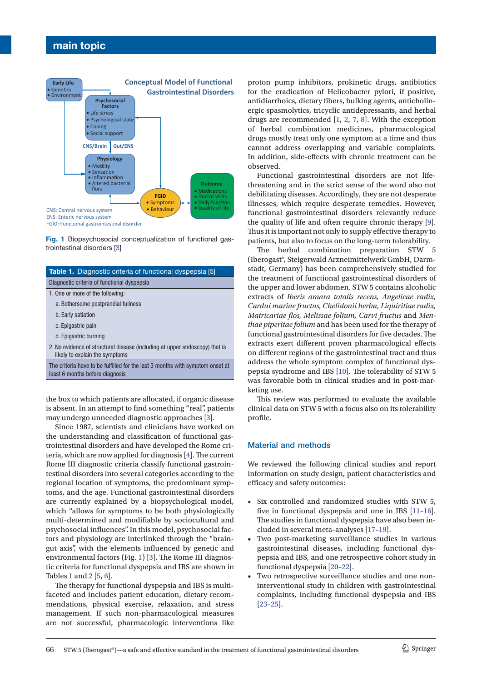# **main topic**



**Fig. 1** Biopsychosocial conceptualization of functional gastrointestinal disorders [\[3\]](#page-6-2)

| <b>Table 1.</b> Diagnostic criteria of functional dyspepsia [5]                                                  |
|------------------------------------------------------------------------------------------------------------------|
| Diagnostic criteria of functional dyspepsia                                                                      |
| 1. One or more of the following:                                                                                 |
| a. Bothersome postprandial fullness                                                                              |
| b. Early satiation                                                                                               |
| c. Epigastric pain                                                                                               |
| d. Epigastric burning                                                                                            |
| 2. No evidence of structural disease (including at upper endoscopy) that is<br>likely to explain the symptoms    |
| The criteria have to be fulfilled for the last 3 months with symptom onset at<br>least 6 months before diagnosis |
|                                                                                                                  |

the box to which patients are allocated, if organic disease is absent. In an attempt to find something "real", patients may undergo unneeded diagnostic approaches [3].

Since 1987, scientists and clinicians have worked on the understanding and classification of functional gastrointestinal disorders and have developed the Rome criteria, which are now applied for diagnosis [\[4\]](#page-6-1). The current Rome III diagnostic criteria classify functional gastrointestinal disorders into several categories according to the regional location of symptoms, the predominant symptoms, and the age. Functional gastrointestinal disorders are currently explained by a biopsychological model, which "allows for symptoms to be both physiologically multi-determined and modifiable by sociocultural and psychosocial influences". In this model, psychosocial factors and physiology are interlinked through the "braingut axis", with the elements influenced by genetic and environmental factors (Fig. 1) [\[3](#page-6-2)]. The Rome III diagnostic criteria for functional dyspepsia and IBS are shown in Tables 1 and 2 [[5](#page-6-3), [6\]](#page-6-4).

The therapy for functional dyspepsia and IBS is multifaceted and includes patient education, dietary recommendations, physical exercise, relaxation, and stress management. If such non-pharmacological measures are not successful, pharmacologic interventions like proton pump inhibitors, prokinetic drugs, antibiotics for the eradication of Helicobacter pylori, if positive, antidiarrhoics, dietary fibers, bulking agents, anticholinergic spasmolytics, tricyclic antidepressants, and herbal drugs are recommended [\[1,](#page-6-0) 2, [7](#page-6-5), [8\]](#page-6-6). With the exception of herbal combination medicines, pharmacological drugs mostly treat only one symptom at a time and thus cannot address overlapping and variable complaints. In addition, side-effects with chronic treatment can be observed.

Functional gastrointestinal disorders are not lifethreatening and in the strict sense of the word also not debilitating diseases. Accordingly, they are not desperate illnesses, which require desperate remedies. However, functional gastrointestinal disorders relevantly reduce the quality of life and often require chronic therapy [\[9\]](#page-6-7). Thus it is important not only to supply effective therapy to patients, but also to focus on the long-term tolerability.

The herbal combination preparation STW 5 (Iberogast®, Steigerwald Arzneimittelwerk GmbH, Darmstadt, Germany) has been comprehensively studied for the treatment of functional gastrointestinal disorders of the upper and lower abdomen. STW 5 contains alcoholic extracts of *Iberis amara totalis recens, Angelicae radix, Cardui mariae fructus, Chelidonii herba, Liquiritiae radix, Matricariae flos, Melissae folium, Carvi fructus* and *Menthae piperitae folium* and has been used for the therapy of functional gastrointestinal disorders for five decades. The extracts exert different proven pharmacological effects on different regions of the gastrointestinal tract and thus address the whole symptom complex of functional dyspepsia syndrome and IBS [\[10\]](#page-6-8). The tolerability of STW 5 was favorable both in clinical studies and in post-marketing use.

This review was performed to evaluate the available clinical data on STW 5 with a focus also on its tolerability profile.

#### Material and methods

We reviewed the following clinical studies and report information on study design, patient characteristics and efficacy and safety outcomes:

- • Six controlled and randomized studies with STW 5, five in functional dyspepsia and one in IBS [[11](#page-7-0)[–16\]](#page-7-1). The studies in functional dyspepsia have also been included in several meta-analyses [17–19].
- • Two post-marketing surveillance studies in various gastrointestinal diseases, including functional dyspepsia and IBS, and one retrospective cohort study in functional dyspepsia [20–22].
- Two retrospective surveillance studies and one noninterventional study in children with gastrointestinal complaints, including functional dyspepsia and IBS [23–25].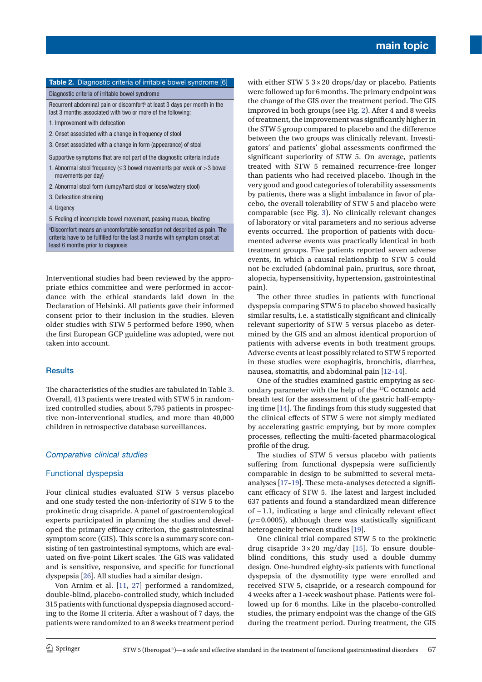| Table 2. Diagnostic criteria of irritable bowel syndrome [6]                                                                                                                               |
|--------------------------------------------------------------------------------------------------------------------------------------------------------------------------------------------|
| Diagnostic criteria of irritable bowel syndrome                                                                                                                                            |
| Recurrent abdominal pain or discomfort <sup>a</sup> at least 3 days per month in the<br>last 3 months associated with two or more of the following:                                        |
| 1. Improvement with defecation                                                                                                                                                             |
| 2. Onset associated with a change in frequency of stool                                                                                                                                    |
| 3. Onset associated with a change in form (appearance) of stool                                                                                                                            |
| Supportive symptoms that are not part of the diagnostic criteria include                                                                                                                   |
| 1. Abnormal stool frequency ( $\leq$ 3 bowel movements per week or $>$ 3 bowel<br>movements per day)                                                                                       |
| 2. Abnormal stool form (lumpy/hard stool or loose/watery stool)                                                                                                                            |
| 3. Defecation straining                                                                                                                                                                    |
| 4. Urgency                                                                                                                                                                                 |
| 5. Feeling of incomplete bowel movement, passing mucus, bloating                                                                                                                           |
| a Discomfort means an uncomfortable sensation not described as pain. The<br>criteria have to be fulfilled for the last 3 months with symptom onset at<br>least 6 months prior to diagnosis |
|                                                                                                                                                                                            |

Interventional studies had been reviewed by the appropriate ethics committee and were performed in accordance with the ethical standards laid down in the Declaration of Helsinki. All patients gave their informed consent prior to their inclusion in the studies. Eleven older studies with STW 5 performed before 1990, when the first European GCP guideline was adopted, were not taken into account.

## **Results**

The characteristics of the studies are tabulated in Table 3. Overall, 413 patients were treated with STW 5 in randomized controlled studies, about 5,795 patients in prospective non-interventional studies, and more than 40,000 children in retrospective database surveillances.

#### *Comparative clinical studies*

### Functional dyspepsia

Four clinical studies evaluated STW 5 versus placebo and one study tested the non-inferiority of STW 5 to the prokinetic drug cisapride. A panel of gastroenterological experts participated in planning the studies and developed the primary efficacy criterion, the gastrointestinal symptom score (GIS). This score is a summary score consisting of ten gastrointestinal symptoms, which are evaluated on five-point Likert scales. The GIS was validated and is sensitive, responsive, and specific for functional dyspepsia [26]. All studies had a similar design.

Von Arnim et al. [[11,](#page-7-0) 27] performed a randomized, double-blind, placebo-controlled study, which included 315 patients with functional dyspepsia diagnosed according to the Rome II criteria. After a washout of 7 days, the patients were randomized to an 8 weeks treatment period with either STW 5  $3 \times 20$  drops/day or placebo. Patients ere followed up for 6 months. The primary endpoint was e change of the GIS over the treatment period. The GIS iproved in both groups (see Fig. 2). After 4 and 8 weeks treatment, the improvement was significantly higher in e STW 5 group compared to placebo and the difference etween the two groups was clinically relevant. Investitors' and patients' global assessments confirmed the significant superiority of STW 5. On average, patients eated with STW 5 remained recurrence-free longer an patients who had received placebo. Though in the ry good and good categories of tolerability assessments patients, there was a slight imbalance in favor of plabo, the overall tolerability of STW 5 and placebo were mparable (see Fig. 3). No clinically relevant changes laboratory or vital parameters and no serious adverse ents occurred. The proportion of patients with docuented adverse events was practically identical in both eatment groups. Five patients reported seven adverse events, in which a causal relationship to STW 5 could not be excluded (abdominal pain, pruritus, sore throat, alopecia, hypersensitivity, hypertension, gastrointestinal pain).

The other three studies in patients with functional dyspepsia comparing STW 5 to placebo showed basically similar results, i.e. a statistically significant and clinically relevant superiority of STW 5 versus placebo as determined by the GIS and an almost identical proportion of patients with adverse events in both treatment groups. Adverse events at least possibly related to STW 5 reported in these studies were esophagitis, bronchitis, diarrhea, nausea, stomatitis, and abdominal pain [[12](#page-7-2)–[14](#page-7-3)].

One of the studies examined gastric emptying as secondary parameter with the help of the 13C octanoic acid breath test for the assessment of the gastric half-emptying time [\[14\]](#page-7-3). The findings from this study suggested that the clinical effects of STW 5 were not simply mediated by accelerating gastric emptying, but by more complex processes, reflecting the multi-faceted pharmacological profile of the drug.

The studies of STW 5 versus placebo with patients suffering from functional dyspepsia were sufficiently comparable in design to be submitted to several metaanalyses [17–19]. These meta-analyses detected a significant efficacy of STW 5. The latest and largest included 637 patients and found a standardized mean difference of −1.1, indicating a large and clinically relevant effect  $(p=0.0005)$ , although there was statistically significant heterogeneity between studies [19].

One clinical trial compared STW 5 to the prokinetic drug cisapride  $3 \times 20$  mg/day [[15](#page-7-4)]. To ensure doubleblind conditions, this study used a double dummy design. One-hundred eighty-six patients with functional dyspepsia of the dysmotility type were enrolled and received STW 5, cisapride, or a research compound for 4 weeks after a 1-week washout phase. Patients were followed up for 6 months. Like in the placebo-controlled studies, the primary endpoint was the change of the GIS during the treatment period. During treatment, the GIS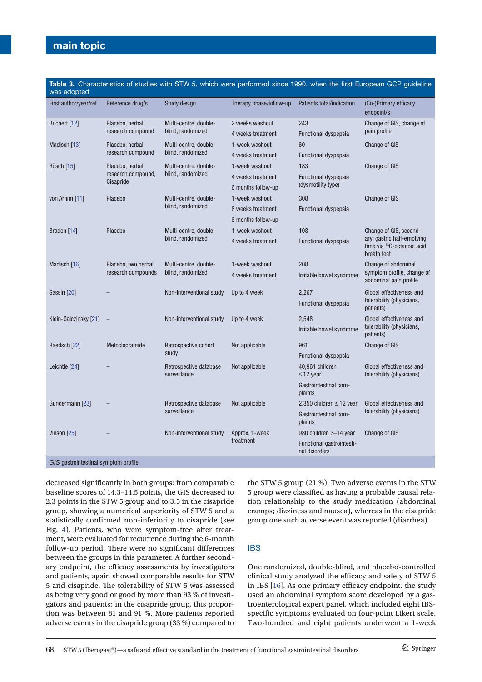# **main topic**

| was adopted                          |                                                    |                                            |                             |                                            |                                                                                                               |  |
|--------------------------------------|----------------------------------------------------|--------------------------------------------|-----------------------------|--------------------------------------------|---------------------------------------------------------------------------------------------------------------|--|
| First author/year/ref.               | Reference drug/s                                   | Study design                               | Therapy phase/follow-up     | Patients total/indication                  | (Co-)Primary efficacy<br>endpoint/s                                                                           |  |
| Buchert [12]<br>Placebo, herbal      | Multi-centre, double-                              | 2 weeks washout                            | 243                         | Change of GIS, change of<br>pain profile   |                                                                                                               |  |
|                                      | research compound<br>blind, randomized             |                                            | 4 weeks treatment           |                                            | <b>Functional dyspepsia</b>                                                                                   |  |
| Madisch [13]                         | Placebo, herbal                                    | Multi-centre, double-<br>blind, randomized | 1-week washout              | 60                                         | <b>Change of GIS</b>                                                                                          |  |
|                                      | research compound                                  |                                            | 4 weeks treatment           | Functional dyspepsia                       |                                                                                                               |  |
| Rösch [15]                           | Placebo, herbal<br>research compound,<br>Cisapride | Multi-centre, double-<br>blind, randomized | 1-week washout              | 183                                        | <b>Change of GIS</b>                                                                                          |  |
|                                      |                                                    |                                            | 4 weeks treatment           | <b>Functional dyspepsia</b>                |                                                                                                               |  |
|                                      |                                                    |                                            | 6 months follow-up          | (dysmotility type)                         |                                                                                                               |  |
| von Arnim [11]                       | Placebo                                            | Multi-centre, double-<br>blind, randomized | 1-week washout              | 308                                        | <b>Change of GIS</b>                                                                                          |  |
|                                      |                                                    |                                            | 8 weeks treatment           | <b>Functional dyspepsia</b>                |                                                                                                               |  |
|                                      |                                                    |                                            | 6 months follow-up          |                                            |                                                                                                               |  |
| Braden [14]                          | Placebo                                            | Multi-centre, double-                      | 1-week washout              | 103                                        | Change of GIS, second-<br>ary: gastric half-emptying<br>time via <sup>13</sup> C-octanoic acid<br>breath test |  |
|                                      |                                                    | blind, randomized                          | 4 weeks treatment           | Functional dyspepsia                       |                                                                                                               |  |
| Madisch [16]                         | Placebo, two herbal<br>research compounds          | Multi-centre, double-<br>blind, randomized | 1-week washout              | 208                                        | Change of abdominal<br>symptom profile, change of<br>abdominal pain profile                                   |  |
|                                      |                                                    |                                            | 4 weeks treatment           | Irritable bowel syndrome                   |                                                                                                               |  |
| Sassin [20]                          |                                                    | Non-interventional study                   | Up to 4 week                | 2,267                                      | Global effectiveness and<br>tolerability (physicians,<br>patients)                                            |  |
|                                      |                                                    |                                            |                             | Functional dyspepsia                       |                                                                                                               |  |
| Klein-Galczinsky [21]                |                                                    | Non-interventional study                   | Up to 4 week                | 2,548                                      | Global effectiveness and<br>tolerability (physicians,<br>patients)                                            |  |
|                                      |                                                    |                                            |                             | Irritable bowel syndrome                   |                                                                                                               |  |
| Raedsch [22]                         | Metoclopramide<br>Retrospective cohort             | Not applicable                             | 961                         | Change of GIS                              |                                                                                                               |  |
|                                      |                                                    | study                                      |                             | Functional dyspepsia                       |                                                                                                               |  |
| Leichtle [24]                        |                                                    | Retrospective database<br>surveillance     | Not applicable              | 40,961 children<br>$\leq$ 12 year          | Global effectiveness and<br>tolerability (physicians)                                                         |  |
|                                      |                                                    |                                            |                             | Gastrointestinal com-<br>plaints           |                                                                                                               |  |
| Gundermann [23]                      |                                                    | Retrospective database<br>surveillance     | Not applicable              | 2,350 children $\leq$ 12 year              | Global effectiveness and<br>tolerability (physicians)                                                         |  |
|                                      |                                                    |                                            |                             | Gastrointestinal com-<br>plaints           |                                                                                                               |  |
| Vinson [25]                          |                                                    | Non-interventional study                   | Approx. 1-week<br>treatment | 980 children 3-14 year                     | <b>Change of GIS</b>                                                                                          |  |
|                                      |                                                    |                                            |                             | Functional gastrointesti-<br>nal disorders |                                                                                                               |  |
| GIS gastrointestinal symptom profile |                                                    |                                            |                             |                                            |                                                                                                               |  |

**Table 3.** Characteristics of studies with STW 5, which were performed since 1990, when the first European GCP guideline

baseline scores of 14.3–14.5 points, the GIS decreased to 2.3 points in the STW 5 group and to 3.5 in the cisapride group, showing a numerical superiority of STW 5 and a statistically confirmed non-inferiority to cisapride (see Fig. 4). Patients, who were symptom-free after treatment, were evaluated for recurrence during the 6-month follow-up period. There were no significant differences between the groups in this parameter. A further secondary endpoint, the efficacy assessments by investigators and patients, again showed comparable results for STW 5 and cisapride. The tolerability of STW 5 was assessed as being very good or good by more than 93 % of investigators and patients; in the cisapride group, this proportion was between 81 and 91 %. More patients reported adverse events in the cisapride group (33 %) compared to

decreased significantly in both groups: from comparable

the STW 5 group (21 %). Two adverse events in the STW 5 group were classified as having a probable causal relation relationship to the study medication (abdominal cramps; dizziness and nausea), whereas in the cisapride group one such adverse event was reported (diarrhea).

#### **IBS**

One randomized, double-blind, and placebo-controlled clinical study analyzed the efficacy and safety of STW 5 in IBS [16]. As one primary efficacy endpoint, the study used an abdominal symptom score developed by a gastroenterological expert panel, which included eight IBSspecific symptoms evaluated on four-point Likert scale. Two-hundred and eight patients underwent a 1-week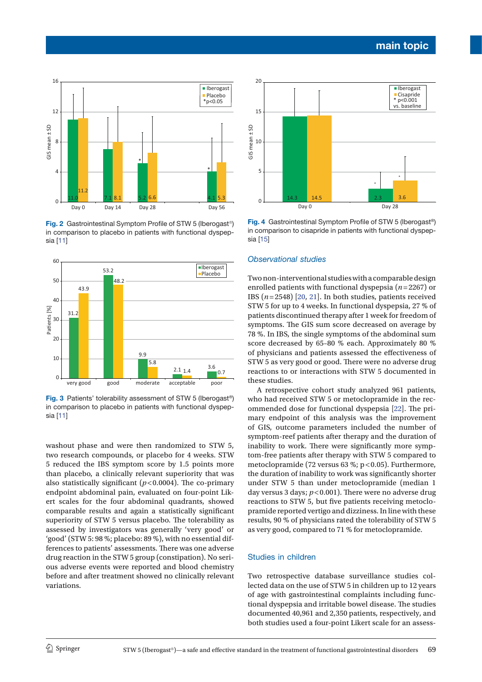

**Fig. 2** Gastrointestinal Symptom Profile of STW 5 (Iberogast®) in comparison to placebo in patients with functional dyspepsia [[11](#page-7-0)]



**Fig. 3** Patients' tolerability assessment of STW 5 (Iberogast®) in comparison to placebo in patients with functional dyspepsia [\[11](#page-7-0)]

washout phase and were then randomized to STW 5, two research compounds, or placebo for 4 weeks. STW 5 reduced the IBS symptom score by 1.5 points more than placebo, a clinically relevant superiority that was also statistically significant (*p* < 0.0004). The co-primary endpoint abdominal pain, evaluated on four-point Likert scales for the four abdominal quadrants, showed comparable results and again a statistically significant superiority of STW 5 versus placebo. The tolerability as assessed by investigators was generally 'very good' or 'good' (STW 5: 98 %; placebo: 89 %), with no essential differences to patients' assessments. There was one adverse drug reaction in the STW 5 group (constipation). No serious adverse events were reported and blood chemistry before and after treatment showed no clinically relevant variations.



**Fig. 4** Gastrointestinal Symptom Profile of STW 5 (Iberogast®) in comparison to cisapride in patients with functional dyspepsia [15]

#### *Observational studies*

Two non-interventional studies with a comparable design enrolled patients with functional dyspepsia (*n*=2267) or IBS (*n*=2548) [20, 21]. In both studies, patients received STW 5 for up to 4 weeks. In functional dyspepsia, 27 % of patients discontinued therapy after 1 week for freedom of symptoms. The GIS sum score decreased on average by 78 %. In IBS, the single symptoms of the abdominal sum score decreased by 65-80 % each. Approximately 80 % of physicians and patients assessed the effectiveness of STW 5 as very good or good. There were no adverse drug reactions to or interactions with STW 5 documented in these studies.

A retrospective cohort study analyzed 961 patients, who had received STW 5 or metoclopramide in the recommended dose for functional dyspepsia [22]. The primary endpoint of this analysis was the improvement of GIS, outcome parameters included the number of symptom-reef patients after therapy and the duration of inability to work. There were significantly more symptom-free patients after therapy with STW 5 compared to metoclopramide (72 versus 63 %; p < 0.05). Furthermore, the duration of inability to work was significantly shorter under STW 5 than under metoclopramide (median 1 day versus 3 days; *p* < 0.001). There were no adverse drug reactions to STW 5, but five patients receiving metoclopramide reported vertigo and dizziness. In line with these results, 90 % of physicians rated the tolerability of STW 5 as very good, compared to 71 % for metoclopramide.

## Studies in children

Two retrospective database surveillance studies collected data on the use of STW 5 in children up to 12 years of age with gastrointestinal complaints including functional dyspepsia and irritable bowel disease. The studies documented 40,961 and 2,350 patients, respectively, and both studies used a four-point Likert scale for an assess-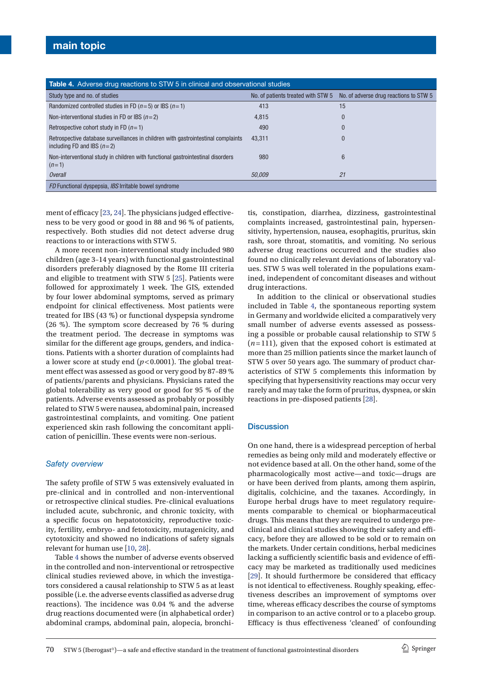| <b>Table 4.</b> Adverse drug reactions to STW 5 in clinical and observational studies |                                        |  |  |  |  |  |
|---------------------------------------------------------------------------------------|----------------------------------------|--|--|--|--|--|
|                                                                                       | No. of adverse drug reactions to STW 5 |  |  |  |  |  |
| 413                                                                                   | 15                                     |  |  |  |  |  |
| 4,815                                                                                 | $\Omega$                               |  |  |  |  |  |
| 490                                                                                   | $\theta$                               |  |  |  |  |  |
| 43.311                                                                                | 0                                      |  |  |  |  |  |
| 980                                                                                   | 6                                      |  |  |  |  |  |
| 50.009                                                                                | 21                                     |  |  |  |  |  |
|                                                                                       |                                        |  |  |  |  |  |
|                                                                                       | No. of patients treated with STW 5     |  |  |  |  |  |

ment of efficacy [23, 24]. The physicians judged effectiveness to be very good or good in 88 and 96 % of patients,

respectively. Both studies did not detect adverse drug

reactions to or interactions with STW 5. A more recent non-interventional study included 980 children (age 3–14 years) with functional gastrointestinal disorders preferably diagnosed by the Rome III criteria and eligible to treatment with STW 5 [25]. Patients were followed for approximately 1 week. The GIS, extended by four lower abdominal symptoms, served as primary endpoint for clinical effectiveness. Most patients were treated for IBS (43 %) or functional dyspepsia syndrome (26 %). The symptom score decreased by 76 % during the treatment period. The decrease in symptoms was similar for the different age groups, genders, and indications. Patients with a shorter duration of complaints had a lower score at study end  $(p<0.0001)$ . The global treatment effect was assessed as good or very good by 87–89 % of patients/parents and physicians. Physicians rated the global tolerability as very good or good for 95 % of the patients. Adverse events assessed as probably or possibly related to STW 5 were nausea, abdominal pain, increased gastrointestinal complaints, and vomiting. One patient experienced skin rash following the concomitant application of penicillin. These events were non-serious.

## *Safety overview*

The safety profile of STW 5 was extensively evaluated in pre-clinical and in controlled and non-interventional or retrospective clinical studies. Pre-clinical evaluations included acute, subchronic, and chronic toxicity, with a specific focus on hepatotoxicity, reproductive toxicity, fertility, embryo- and fetotoxicity, mutagenicity, and cytotoxicity and showed no indications of safety signals relevant for human use [[10,](#page-6-8) 28].

Table 4 shows the number of adverse events observed in the controlled and non-interventional or retrospective clinical studies reviewed above, in which the investigators considered a causal relationship to STW 5 as at least possible (i.e. the adverse events classified as adverse drug reactions). The incidence was 0.04 % and the adverse drug reactions documented were (in alphabetical order) abdominal cramps, abdominal pain, alopecia, bronchi-

tis, constipation, diarrhea, dizziness, gastrointestinal complaints increased, gastrointestinal pain, hypersensitivity, hypertension, nausea, esophagitis, pruritus, skin rash, sore throat, stomatitis, and vomiting. No serious adverse drug reactions occurred and the studies also found no clinically relevant deviations of laboratory values. STW 5 was well tolerated in the populations examined, independent of concomitant diseases and without drug interactions.

In addition to the clinical or observational studies included in Table 4, the spontaneous reporting system in Germany and worldwide elicited a comparatively very small number of adverse events assessed as possessing a possible or probable causal relationship to STW 5 (*n*=111), given that the exposed cohort is estimated at more than 25 million patients since the market launch of STW 5 over 50 years ago. The summary of product characteristics of STW 5 complements this information by specifying that hypersensitivity reactions may occur very rarely and may take the form of pruritus, dyspnea, or skin reactions in pre-disposed patients [28].

#### **Discussion**

On one hand, there is a widespread perception of herbal remedies as being only mild and moderately effective or not evidence based at all. On the other hand, some of the pharmacologically most active—and toxic—drugs are or have been derived from plants, among them aspirin, digitalis, colchicine, and the taxanes. Accordingly, in Europe herbal drugs have to meet regulatory requirements comparable to chemical or biopharmaceutical drugs. This means that they are required to undergo preclinical and clinical studies showing their safety and efficacy, before they are allowed to be sold or to remain on the markets. Under certain conditions, herbal medicines lacking a sufficiently scientific basis and evidence of efficacy may be marketed as traditionally used medicines [29]. It should furthermore be considered that efficacy is not identical to effectiveness. Roughly speaking, effectiveness describes an improvement of symptoms over time, whereas efficacy describes the course of symptoms in comparison to an active control or to a placebo group. Efficacy is thus effectiveness 'cleaned' of confounding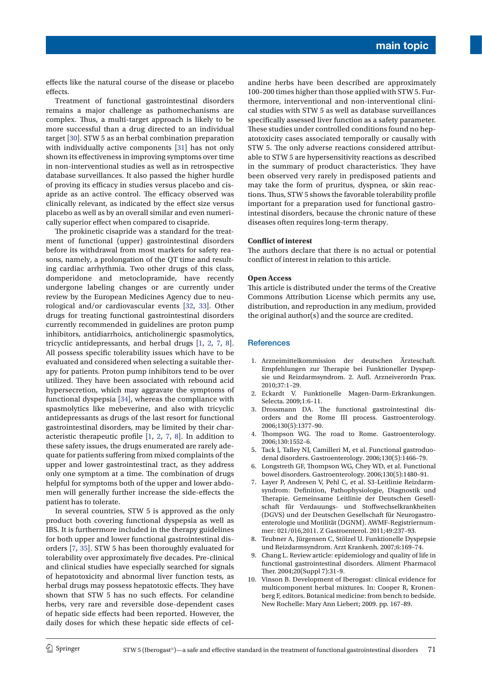effects like the natural course of the disease or placebo effects.

Treatment of functional gastrointestinal disorders remains a major challenge as pathomechanisms are complex. Thus, a multi-target approach is likely to be more successful than a drug directed to an individual target [30]. STW 5 as an herbal combination preparation with individually active components [31] has not only shown its effectiveness in improving symptoms over time in non-interventional studies as well as in retrospective database surveillances. It also passed the higher hurdle of proving its efficacy in studies versus placebo and cisapride as an active control. The efficacy observed was clinically relevant, as indicated by the effect size versus placebo as well as by an overall similar and even numerically superior effect when compared to cisapride.

The prokinetic cisapride was a standard for the treatment of functional (upper) gastrointestinal disorders before its withdrawal from most markets for safety reasons, namely, a prolongation of the QT time and resulting cardiac arrhythmia. Two other drugs of this class, domperidone and metoclopramide, have recently undergone labeling changes or are currently under review by the European Medicines Agency due to neurological and/or cardiovascular events [32, 33]. Other drugs for treating functional gastrointestinal disorders currently recommended in guidelines are proton pump inhibitors, antidiarrhoics, anticholinergic spasmolytics, tricyclic antidepressants, and herbal drugs [\[1](#page-6-0), 2, [7](#page-6-5), [8](#page-6-6)]. All possess specific tolerability issues which have to be evaluated and considered when selecting a suitable therapy for patients. Proton pump inhibitors tend to be over utilized. They have been associated with rebound acid hypersecretion, which may aggravate the symptoms of functional dyspepsia [34], whereas the compliance with spasmolytics like mebeverine, and also with tricyclic antidepressants as drugs of the last resort for functional gastrointestinal disorders, may be limited by their characteristic therapeutic profile [1, 2, [7,](#page-6-5) [8](#page-6-6)]. In addition to these safety issues, the drugs enumerated are rarely adequate for patients suffering from mixed complaints of the upper and lower gastrointestinal tract, as they address only one symptom at a time. The combination of drugs helpful for symptoms both of the upper and lower abdomen will generally further increase the side-effects the patient has to tolerate.

In several countries, STW 5 is approved as the only product both covering functional dyspepsia as well as IBS. It is furthermore included in the therapy guidelines for both upper and lower functional gastrointestinal disorders [[7,](#page-6-5) 35]. STW 5 has been thoroughly evaluated for tolerability over approximately five decades. Pre-clinical and clinical studies have especially searched for signals of hepatotoxicity and abnormal liver function tests, as herbal drugs may possess hepatotoxic effects. They have shown that STW 5 has no such effects. For celandine herbs, very rare and reversible dose-dependent cases of hepatic side effects had been reported. However, the daily doses for which these hepatic side effects of celandine herbs have been described are approximately 100–200 times higher than those applied with STW 5. Furthermore, interventional and non-interventional clinical studies with STW 5 as well as database surveillances specifically assessed liver function as a safety parameter. These studies under controlled conditions found no hepatotoxicity cases associated temporally or causally with STW 5. The only adverse reactions considered attributable to STW 5 are hypersensitivity reactions as described in the summary of product characteristics. They have been observed very rarely in predisposed patients and may take the form of pruritus, dyspnea, or skin reactions. Thus, STW 5 shows the favorable tolerability profile important for a preparation used for functional gastrointestinal disorders, because the chronic nature of these diseases often requires long-term therapy.

#### **Conflict of interest**

The authors declare that there is no actual or potential conflict of interest in relation to this article.

#### **Open Access**

This article is distributed under the terms of the Creative Commons Attribution License which permits any use, distribution, and reproduction in any medium, provided the original author(s) and the source are credited.

#### **References**

- <span id="page-6-0"></span>1. Arzneimittelkommission der deutschen Ärzteschaft. Empfehlungen zur Therapie bei Funktioneller Dyspepsie und Reizdarmsyndrom. 2. Aufl. Arzneiverordn Prax. 2010;37:1–29.
- 2. Eckardt V. Funktionelle Magen-Darm-Erkrankungen. Selecta. 2009;1:6–11.
- <span id="page-6-2"></span>3. Drossmann DA. The functional gastrointestinal disorders and the Rome III process. Gastroenterology. 2006;130(5):1377–90.
- <span id="page-6-1"></span>4. Thompson WG. The road to Rome. Gastroenterology. 2006;130:1552–6.
- <span id="page-6-3"></span>5. Tack J, Talley NJ, Camilleri M, et al. Functional gastroduodenal disorders. Gastroenterology. 2006;130(5):1466–79.
- <span id="page-6-4"></span>6. Longstreth GF, Thompson WG, Chey WD, et al. Functional bowel disorders. Gastroenterology. 2006;130(5):1480–91.
- <span id="page-6-5"></span>7. Layer P, Andresen V, Pehl C, et al. S3-Leitlinie Reizdarmsyndrom: Definition, Pathophysiologie, Diagnostik und Therapie. Gemeinsame Leitlinie der Deutschen Gesellschaft für Verdauungs- und Stoffwechselkrankheiten (DGVS) und der Deutschen Gesellschaft für Neurogastroenterologie und Motilität (DGNM). AWMF-Registriernummer: 021/016,2011. Z Gastroenterol. 2011;49:237–93.
- <span id="page-6-6"></span>8. Teubner A, Jürgensen C, Stölzel U. Funktionelle Dyspepsie und Reizdarmsyndrom. Arzt Krankenh. 2007;6:169–74.
- <span id="page-6-7"></span>9. Chang L. Review article: epidemiology and quality of life in functional gastrointestinal disorders. Aliment Pharmacol Ther. 2004;20(Suppl 7):31–9.
- <span id="page-6-8"></span>10. Vinson B. Development of Iberogast: clinical evidence for multicomponent herbal mixtures. In: Cooper R, Kronenberg F, editors. Botanical medicine: from bench to bedside. New Rochelle: Mary Ann Liebert; 2009. pp. 167–89.